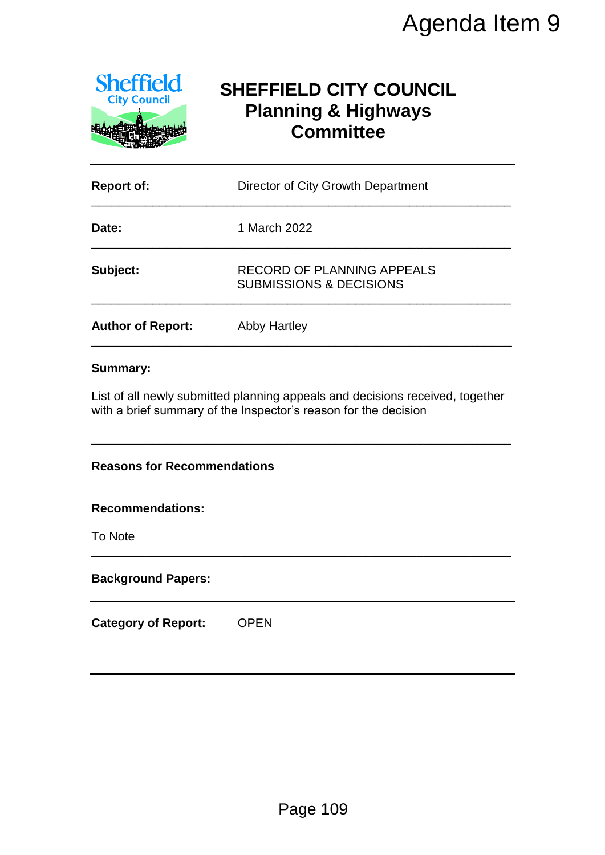

# **SHEFFIELD CITY COUNCIL Planning & Highways Committee**

|                                         | Agenda Item 9                                                                                                                                    |  |  |
|-----------------------------------------|--------------------------------------------------------------------------------------------------------------------------------------------------|--|--|
| <b>Sheffield</b><br><b>City Council</b> | <b>SHEFFIELD CITY COUNCIL</b><br><b>Planning &amp; Highways</b><br><b>Committee</b>                                                              |  |  |
| <b>Report of:</b>                       | Director of City Growth Department                                                                                                               |  |  |
| Date:                                   | 1 March 2022                                                                                                                                     |  |  |
| Subject:                                | <b>RECORD OF PLANNING APPEALS</b><br><b>SUBMISSIONS &amp; DECISIONS</b>                                                                          |  |  |
| <b>Author of Report:</b>                | <b>Abby Hartley</b>                                                                                                                              |  |  |
| <b>Reasons for Recommendations</b>      | List of all newly submitted planning appeals and decisions received, together<br>with a brief summary of the Inspector's reason for the decision |  |  |
| <b>Recommendations:</b><br>To Note      |                                                                                                                                                  |  |  |
| <b>Background Papers:</b>               |                                                                                                                                                  |  |  |
| <b>Category of Report:</b>              | <b>OPEN</b>                                                                                                                                      |  |  |
|                                         | Page 109                                                                                                                                         |  |  |

## **Summary:**

## **Recommendations:**

#### **Background Papers:**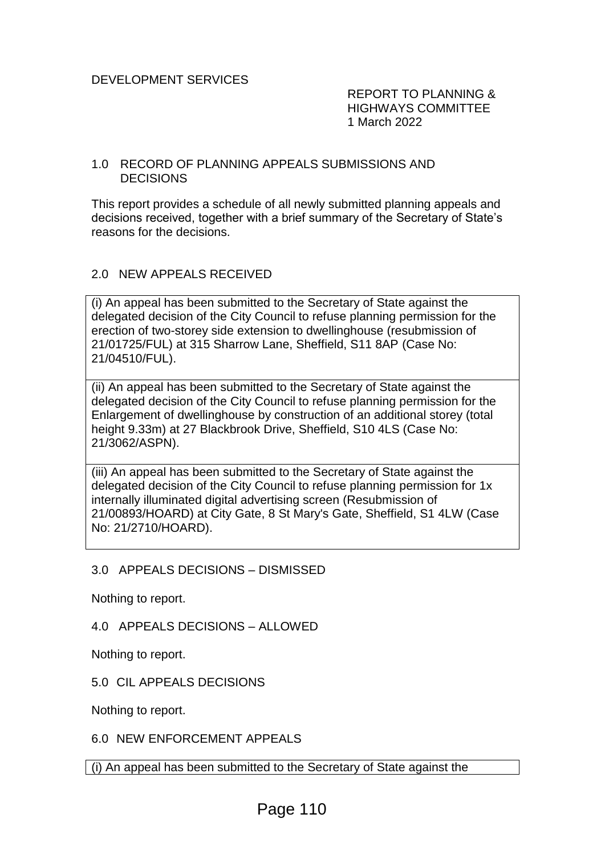REPORT TO PLANNING & HIGHWAYS COMMITTEE 1 March 2022

#### 1.0 RECORD OF PLANNING APPEALS SUBMISSIONS AND DECISIONS

This report provides a schedule of all newly submitted planning appeals and decisions received, together with a brief summary of the Secretary of State's reasons for the decisions.

# 2.0 NEW APPEALS RECEIVED

(i) An appeal has been submitted to the Secretary of State against the delegated decision of the City Council to refuse planning permission for the erection of two-storey side extension to dwellinghouse (resubmission of 21/01725/FUL) at 315 Sharrow Lane, Sheffield, S11 8AP (Case No: 21/04510/FUL).

(ii) An appeal has been submitted to the Secretary of State against the delegated decision of the City Council to refuse planning permission for the Enlargement of dwellinghouse by construction of an additional storey (total height 9.33m) at 27 Blackbrook Drive, Sheffield, S10 4LS (Case No: 21/3062/ASPN).

(iii) An appeal has been submitted to the Secretary of State against the delegated decision of the City Council to refuse planning permission for 1x internally illuminated digital advertising screen (Resubmission of 21/00893/HOARD) at City Gate, 8 St Mary's Gate, Sheffield, S1 4LW (Case No: 21/2710/HOARD).

3.0 APPEALS DECISIONS – DISMISSED

Nothing to report.

4.0 APPEALS DECISIONS – ALLOWED

Nothing to report.

5.0 CIL APPEALS DECISIONS

Nothing to report.

6.0 NEW ENFORCEMENT APPEALS

(i) An appeal has been submitted to the Secretary of State against the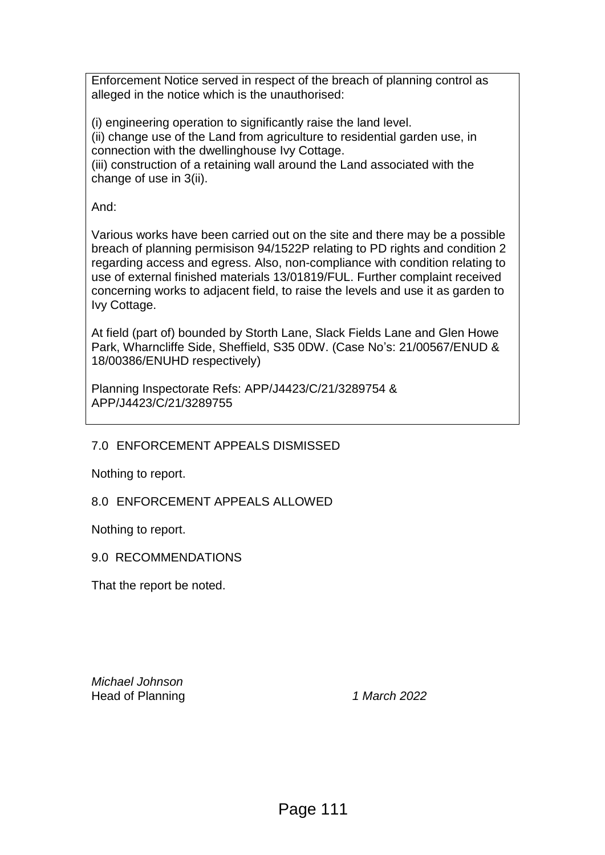Enforcement Notice served in respect of the breach of planning control as alleged in the notice which is the unauthorised:

(i) engineering operation to significantly raise the land level. (ii) change use of the Land from agriculture to residential garden use, in connection with the dwellinghouse Ivy Cottage.

(iii) construction of a retaining wall around the Land associated with the change of use in 3(ii).

And:

Various works have been carried out on the site and there may be a possible breach of planning permisison 94/1522P relating to PD rights and condition 2 regarding access and egress. Also, non-compliance with condition relating to use of external finished materials 13/01819/FUL. Further complaint received concerning works to adjacent field, to raise the levels and use it as garden to Ivy Cottage.

At field (part of) bounded by Storth Lane, Slack Fields Lane and Glen Howe Park, Wharncliffe Side, Sheffield, S35 0DW. (Case No's: 21/00567/ENUD & 18/00386/ENUHD respectively)

Planning Inspectorate Refs: APP/J4423/C/21/3289754 & APP/J4423/C/21/3289755

7.0 ENFORCEMENT APPEALS DISMISSED

Nothing to report.

8.0 ENFORCEMENT APPEALS ALLOWED

Nothing to report.

9.0 RECOMMENDATIONS

That the report be noted.

*Michael Johnson* Head of Planning *1 March 2022*